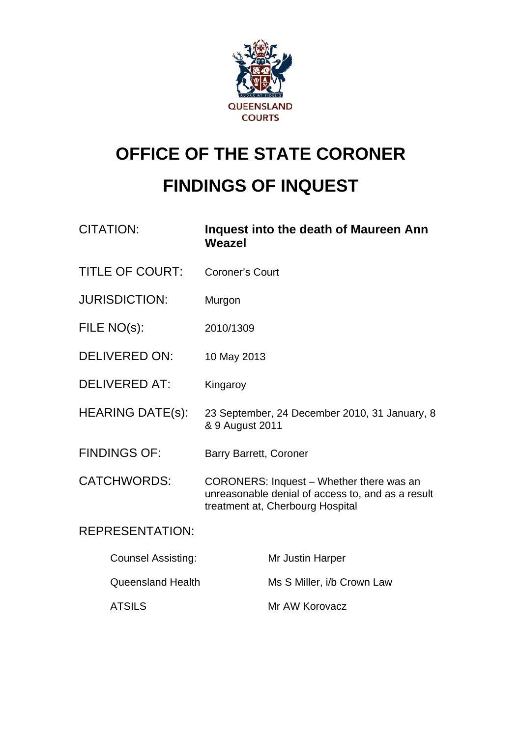

# **OFFICE OF THE STATE CORONER FINDINGS OF INQUEST**

| <b>CITATION:</b>          | Inquest into the death of Maureen Ann<br>Weazel                                                                                   |
|---------------------------|-----------------------------------------------------------------------------------------------------------------------------------|
| <b>TITLE OF COURT:</b>    | <b>Coroner's Court</b>                                                                                                            |
| <b>JURISDICTION:</b>      | Murgon                                                                                                                            |
| FILE NO(s):               | 2010/1309                                                                                                                         |
| <b>DELIVERED ON:</b>      | 10 May 2013                                                                                                                       |
| <b>DELIVERED AT:</b>      | Kingaroy                                                                                                                          |
| <b>HEARING DATE(s):</b>   | 23 September, 24 December 2010, 31 January, 8<br>& 9 August 2011                                                                  |
| <b>FINDINGS OF:</b>       | <b>Barry Barrett, Coroner</b>                                                                                                     |
| <b>CATCHWORDS:</b>        | CORONERS: Inquest - Whether there was an<br>unreasonable denial of access to, and as a result<br>treatment at, Cherbourg Hospital |
| <b>REPRESENTATION:</b>    |                                                                                                                                   |
| <b>Counsel Assisting:</b> | Mr Justin Harper                                                                                                                  |
| <b>Queensland Health</b>  | Ms S Miller, i/b Crown Law                                                                                                        |
| <b>ATSILS</b>             | Mr AW Korovacz                                                                                                                    |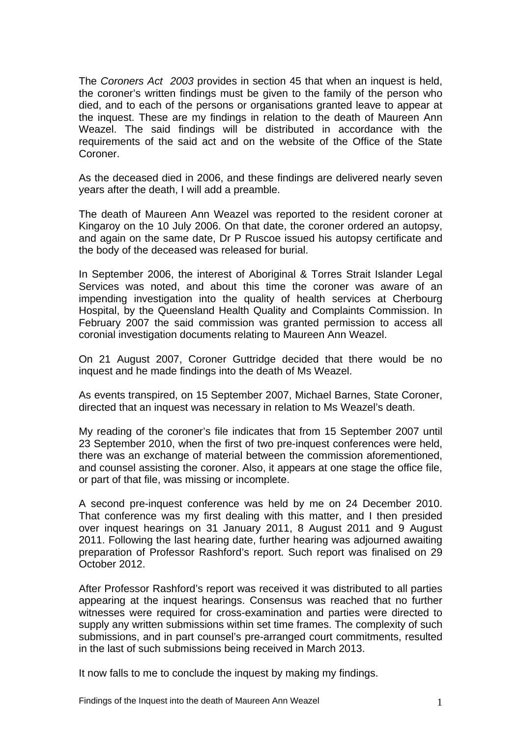The *Coroners Act 2003* provides in section 45 that when an inquest is held, the coroner's written findings must be given to the family of the person who died, and to each of the persons or organisations granted leave to appear at the inquest. These are my findings in relation to the death of Maureen Ann Weazel. The said findings will be distributed in accordance with the requirements of the said act and on the website of the Office of the State Coroner.

As the deceased died in 2006, and these findings are delivered nearly seven years after the death, I will add a preamble.

The death of Maureen Ann Weazel was reported to the resident coroner at Kingaroy on the 10 July 2006. On that date, the coroner ordered an autopsy, and again on the same date, Dr P Ruscoe issued his autopsy certificate and the body of the deceased was released for burial.

In September 2006, the interest of Aboriginal & Torres Strait Islander Legal Services was noted, and about this time the coroner was aware of an impending investigation into the quality of health services at Cherbourg Hospital, by the Queensland Health Quality and Complaints Commission. In February 2007 the said commission was granted permission to access all coronial investigation documents relating to Maureen Ann Weazel.

On 21 August 2007, Coroner Guttridge decided that there would be no inquest and he made findings into the death of Ms Weazel.

As events transpired, on 15 September 2007, Michael Barnes, State Coroner, directed that an inquest was necessary in relation to Ms Weazel's death.

My reading of the coroner's file indicates that from 15 September 2007 until 23 September 2010, when the first of two pre-inquest conferences were held, there was an exchange of material between the commission aforementioned, and counsel assisting the coroner. Also, it appears at one stage the office file, or part of that file, was missing or incomplete.

A second pre-inquest conference was held by me on 24 December 2010. That conference was my first dealing with this matter, and I then presided over inquest hearings on 31 January 2011, 8 August 2011 and 9 August 2011. Following the last hearing date, further hearing was adjourned awaiting preparation of Professor Rashford's report. Such report was finalised on 29 October 2012.

After Professor Rashford's report was received it was distributed to all parties appearing at the inquest hearings. Consensus was reached that no further witnesses were required for cross-examination and parties were directed to supply any written submissions within set time frames. The complexity of such submissions, and in part counsel's pre-arranged court commitments, resulted in the last of such submissions being received in March 2013.

It now falls to me to conclude the inquest by making my findings.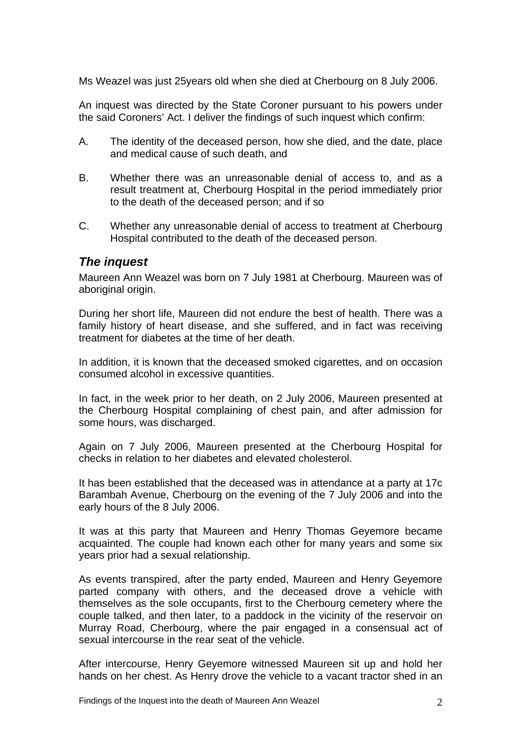Ms Weazel was just 25years old when she died at Cherbourg on 8 July 2006.

An inquest was directed by the State Coroner pursuant to his powers under the said Coroners' Act. I deliver the findings of such inquest which confirm:

- A. The identity of the deceased person, how she died, and the date, place and medical cause of such death, and
- B. Whether there was an unreasonable denial of access to, and as a result treatment at, Cherbourg Hospital in the period immediately prior to the death of the deceased person; and if so
- C. Whether any unreasonable denial of access to treatment at Cherbourg Hospital contributed to the death of the deceased person.

### *The inquest*

Maureen Ann Weazel was born on 7 July 1981 at Cherbourg. Maureen was of aboriginal origin.

During her short life, Maureen did not endure the best of health. There was a family history of heart disease, and she suffered, and in fact was receiving treatment for diabetes at the time of her death.

In addition, it is known that the deceased smoked cigarettes, and on occasion consumed alcohol in excessive quantities.

In fact, in the week prior to her death, on 2 July 2006, Maureen presented at the Cherbourg Hospital complaining of chest pain, and after admission for some hours, was discharged.

Again on 7 July 2006, Maureen presented at the Cherbourg Hospital for checks in relation to her diabetes and elevated cholesterol.

It has been established that the deceased was in attendance at a party at 17c Barambah Avenue, Cherbourg on the evening of the 7 July 2006 and into the early hours of the 8 July 2006.

It was at this party that Maureen and Henry Thomas Geyemore became acquainted. The couple had known each other for many years and some six years prior had a sexual relationship.

As events transpired, after the party ended, Maureen and Henry Geyemore parted company with others, and the deceased drove a vehicle with themselves as the sole occupants, first to the Cherbourg cemetery where the couple talked, and then later, to a paddock in the vicinity of the reservoir on Murray Road, Cherbourg, where the pair engaged in a consensual act of sexual intercourse in the rear seat of the vehicle.

After intercourse, Henry Geyemore witnessed Maureen sit up and hold her hands on her chest. As Henry drove the vehicle to a vacant tractor shed in an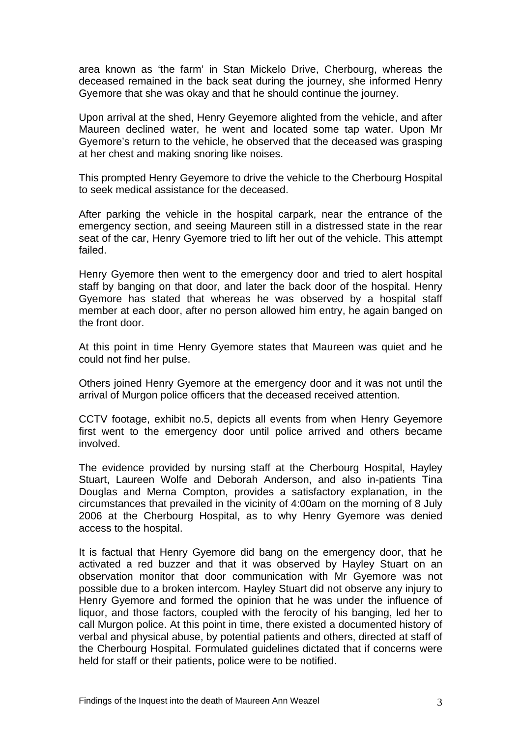area known as 'the farm' in Stan Mickelo Drive, Cherbourg, whereas the deceased remained in the back seat during the journey, she informed Henry Gyemore that she was okay and that he should continue the journey.

Upon arrival at the shed, Henry Geyemore alighted from the vehicle, and after Maureen declined water, he went and located some tap water. Upon Mr Gyemore's return to the vehicle, he observed that the deceased was grasping at her chest and making snoring like noises.

This prompted Henry Geyemore to drive the vehicle to the Cherbourg Hospital to seek medical assistance for the deceased.

After parking the vehicle in the hospital carpark, near the entrance of the emergency section, and seeing Maureen still in a distressed state in the rear seat of the car, Henry Gyemore tried to lift her out of the vehicle. This attempt failed.

Henry Gyemore then went to the emergency door and tried to alert hospital staff by banging on that door, and later the back door of the hospital. Henry Gyemore has stated that whereas he was observed by a hospital staff member at each door, after no person allowed him entry, he again banged on the front door.

At this point in time Henry Gyemore states that Maureen was quiet and he could not find her pulse.

Others joined Henry Gyemore at the emergency door and it was not until the arrival of Murgon police officers that the deceased received attention.

CCTV footage, exhibit no.5, depicts all events from when Henry Geyemore first went to the emergency door until police arrived and others became involved.

The evidence provided by nursing staff at the Cherbourg Hospital, Hayley Stuart, Laureen Wolfe and Deborah Anderson, and also in-patients Tina Douglas and Merna Compton, provides a satisfactory explanation, in the circumstances that prevailed in the vicinity of 4:00am on the morning of 8 July 2006 at the Cherbourg Hospital, as to why Henry Gyemore was denied access to the hospital.

It is factual that Henry Gyemore did bang on the emergency door, that he activated a red buzzer and that it was observed by Hayley Stuart on an observation monitor that door communication with Mr Gyemore was not possible due to a broken intercom. Hayley Stuart did not observe any injury to Henry Gyemore and formed the opinion that he was under the influence of liquor, and those factors, coupled with the ferocity of his banging, led her to call Murgon police. At this point in time, there existed a documented history of verbal and physical abuse, by potential patients and others, directed at staff of the Cherbourg Hospital. Formulated guidelines dictated that if concerns were held for staff or their patients, police were to be notified.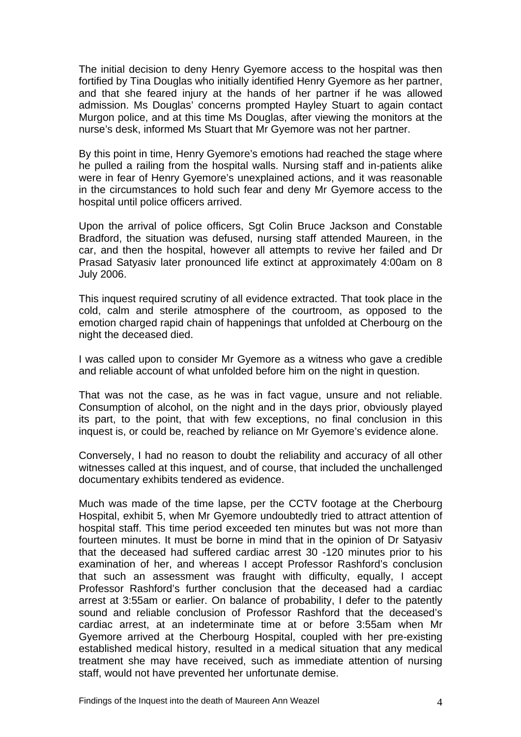The initial decision to deny Henry Gyemore access to the hospital was then fortified by Tina Douglas who initially identified Henry Gyemore as her partner, and that she feared injury at the hands of her partner if he was allowed admission. Ms Douglas' concerns prompted Hayley Stuart to again contact Murgon police, and at this time Ms Douglas, after viewing the monitors at the nurse's desk, informed Ms Stuart that Mr Gyemore was not her partner.

By this point in time, Henry Gyemore's emotions had reached the stage where he pulled a railing from the hospital walls. Nursing staff and in-patients alike were in fear of Henry Gyemore's unexplained actions, and it was reasonable in the circumstances to hold such fear and deny Mr Gyemore access to the hospital until police officers arrived.

Upon the arrival of police officers, Sgt Colin Bruce Jackson and Constable Bradford, the situation was defused, nursing staff attended Maureen, in the car, and then the hospital, however all attempts to revive her failed and Dr Prasad Satyasiv later pronounced life extinct at approximately 4:00am on 8 July 2006.

This inquest required scrutiny of all evidence extracted. That took place in the cold, calm and sterile atmosphere of the courtroom, as opposed to the emotion charged rapid chain of happenings that unfolded at Cherbourg on the night the deceased died.

I was called upon to consider Mr Gyemore as a witness who gave a credible and reliable account of what unfolded before him on the night in question.

That was not the case, as he was in fact vague, unsure and not reliable. Consumption of alcohol, on the night and in the days prior, obviously played its part, to the point, that with few exceptions, no final conclusion in this inquest is, or could be, reached by reliance on Mr Gyemore's evidence alone.

Conversely, I had no reason to doubt the reliability and accuracy of all other witnesses called at this inquest, and of course, that included the unchallenged documentary exhibits tendered as evidence.

Much was made of the time lapse, per the CCTV footage at the Cherbourg Hospital, exhibit 5, when Mr Gyemore undoubtedly tried to attract attention of hospital staff. This time period exceeded ten minutes but was not more than fourteen minutes. It must be borne in mind that in the opinion of Dr Satyasiv that the deceased had suffered cardiac arrest 30 -120 minutes prior to his examination of her, and whereas I accept Professor Rashford's conclusion that such an assessment was fraught with difficulty, equally, I accept Professor Rashford's further conclusion that the deceased had a cardiac arrest at 3:55am or earlier. On balance of probability, I defer to the patently sound and reliable conclusion of Professor Rashford that the deceased's cardiac arrest, at an indeterminate time at or before 3:55am when Mr Gyemore arrived at the Cherbourg Hospital, coupled with her pre-existing established medical history, resulted in a medical situation that any medical treatment she may have received, such as immediate attention of nursing staff, would not have prevented her unfortunate demise.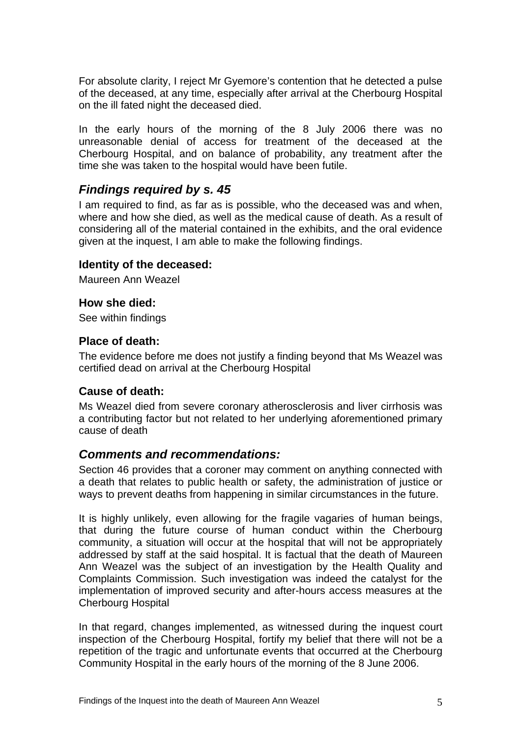For absolute clarity, I reject Mr Gyemore's contention that he detected a pulse of the deceased, at any time, especially after arrival at the Cherbourg Hospital on the ill fated night the deceased died.

In the early hours of the morning of the 8 July 2006 there was no unreasonable denial of access for treatment of the deceased at the Cherbourg Hospital, and on balance of probability, any treatment after the time she was taken to the hospital would have been futile.

# *Findings required by s. 45*

I am required to find, as far as is possible, who the deceased was and when, where and how she died, as well as the medical cause of death. As a result of considering all of the material contained in the exhibits, and the oral evidence given at the inquest, I am able to make the following findings.

#### **Identity of the deceased:**

Maureen Ann Weazel

#### **How she died:**

See within findings

# **Place of death:**

The evidence before me does not justify a finding beyond that Ms Weazel was certified dead on arrival at the Cherbourg Hospital

#### **Cause of death:**

Ms Weazel died from severe coronary atherosclerosis and liver cirrhosis was a contributing factor but not related to her underlying aforementioned primary cause of death

# *Comments and recommendations:*

Section 46 provides that a coroner may comment on anything connected with a death that relates to public health or safety, the administration of justice or ways to prevent deaths from happening in similar circumstances in the future.

It is highly unlikely, even allowing for the fragile vagaries of human beings, that during the future course of human conduct within the Cherbourg community, a situation will occur at the hospital that will not be appropriately addressed by staff at the said hospital. It is factual that the death of Maureen Ann Weazel was the subject of an investigation by the Health Quality and Complaints Commission. Such investigation was indeed the catalyst for the implementation of improved security and after-hours access measures at the Cherbourg Hospital

In that regard, changes implemented, as witnessed during the inquest court inspection of the Cherbourg Hospital, fortify my belief that there will not be a repetition of the tragic and unfortunate events that occurred at the Cherbourg Community Hospital in the early hours of the morning of the 8 June 2006.